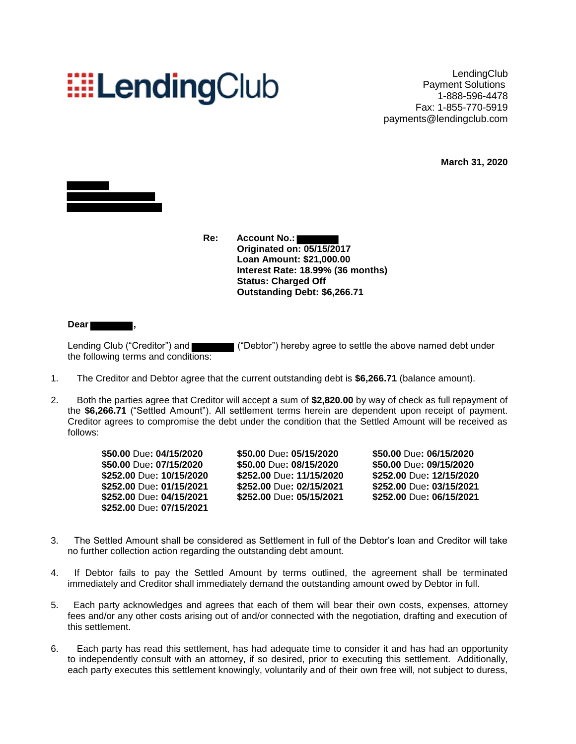## **EELendingClub**

**LendingClub** Payment Solutions 1-888-596-4478 Fax: 1-855-770-5919 payments@lendingclub.com

**March 31, 2020**



**Re: Account No.: Originated on: 05/15/2017 Loan Amount: \$21,000.00 Interest Rate: 18.99% (36 months) Status: Charged Off Outstanding Debt: \$6,266.71**

**Dear ,**

Lending Club ("Creditor") and ("Debtor") hereby agree to settle the above named debt under the following terms and conditions:

- 1. The Creditor and Debtor agree that the current outstanding debt is **\$6,266.71** (balance amount).
- 2. Both the parties agree that Creditor will accept a sum of **\$2,820.00** by way of check as full repayment of the **\$6,266.71** ("Settled Amount"). All settlement terms herein are dependent upon receipt of payment. Creditor agrees to compromise the debt under the condition that the Settled Amount will be received as follows:

**\$50.00** Due**: 07/15/2020 \$50.00** Due**: 08/15/2020 \$50.00** Due**: 09/15/2020 \$252.00** Due**: 07/15/2021** 

**\$252.00** Due**: 10/15/2020 \$252.00** Due**: 11/15/2020 \$252.00** Due**: 12/15/2020 \$252.00** Due**: 01/15/2021 \$252.00** Due**: 02/15/2021 \$252.00** Due**: 03/15/2021 \$252.00** Due**: 04/15/2021 \$252.00** Due**: 05/15/2021 \$252.00** Due**: 06/15/2021**

**\$50.00** Due**: 04/15/2020 \$50.00** Due**: 05/15/2020 \$50.00** Due**: 06/15/2020**

- 3. The Settled Amount shall be considered as Settlement in full of the Debtor's loan and Creditor will take no further collection action regarding the outstanding debt amount.
- 4. If Debtor fails to pay the Settled Amount by terms outlined, the agreement shall be terminated immediately and Creditor shall immediately demand the outstanding amount owed by Debtor in full.
- 5. Each party acknowledges and agrees that each of them will bear their own costs, expenses, attorney fees and/or any other costs arising out of and/or connected with the negotiation, drafting and execution of this settlement.
- 6. Each party has read this settlement, has had adequate time to consider it and has had an opportunity to independently consult with an attorney, if so desired, prior to executing this settlement. Additionally, each party executes this settlement knowingly, voluntarily and of their own free will, not subject to duress,